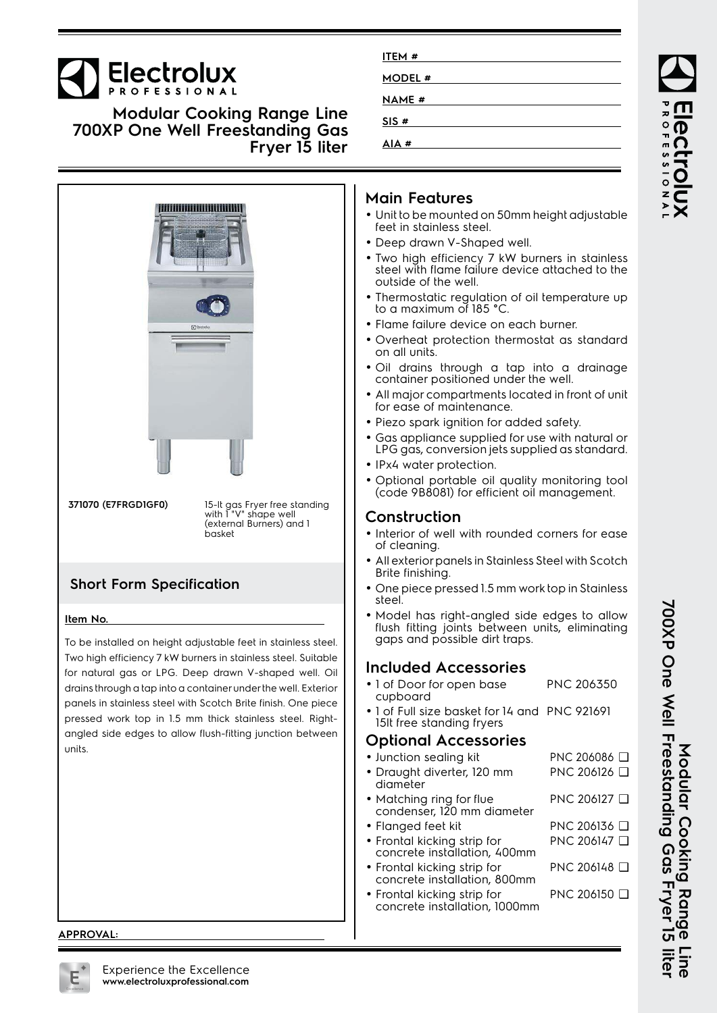# **Electrolux**

**Modular Cooking Range Line 700XP One Well Freestanding Gas Fryer 15 liter**



#### **APPROVAL:**

| ITEM#        |  |
|--------------|--|
| MODEL #      |  |
| <b>NAME#</b> |  |
| SIS#         |  |
| $AIA$ #      |  |
|              |  |

#### **Main Features**

- Unit to be mounted on 50mm height adjustable feet in stainless steel.
- Deep drawn V-Shaped well.
- Two high efficiency 7 kW burners in stainless steel with flame failure device attached to the outside of the well.
- • Thermostatic regulation of oil temperature up to a maximum of 185 °C.
- Flame failure device on each burner.
- Overheat protection thermostat as standard on all units.
- Oil drains through a tap into a drainage container positioned under the well.
- • All major compartments located in front of unit for ease of maintenance.
- Piezo spark ignition for added safety.
- • Gas appliance supplied for use with natural or LPG gas, conversion jets supplied as standard.
- IPx4 water protection.
- Optional portable oil quality monitoring tool (code 9B8081) for efficient oil management.

#### **Construction**

- Interior of well with rounded corners for ease of cleaning.
- • All exterior panels in Stainless Steel with Scotch Brite finishing.
- One piece pressed 1.5 mm work top in Stainless steel.
- Model has right-angled side edges to allow flush fitting joints between units, eliminating gaps and possible dirt traps.

### **Included Accessories**

- 1 of Door for open base cupboard PNC 206350 • 1 of Full size basket for 14 and PNC 921691
- 15lt free standing fryers

#### **Optional Accessories**

• Junction sealing kit PNC 206086 ❑ • Draught diverter, 120 mm diameter PNC 206126 ❑ • Matching ring for flue condenser, 120 mm diameter PNC 206127 ❑ • Flanged feet kit PNC 206136 ❑ • Frontal kicking strip for concrete installation, 400mm PNC 206147 ❑ • Frontal kicking strip for concrete installation, 800mm PNC 206148 ❑ • Frontal kicking strip for concrete installation, 1000mm PNC 206150 ❑

ROFESSIONA

700XP One Well Freestanding Gas Fryer 15 liter **700XP One Well Freestanding Gas Fryer 15 liter Modular Cooking Range Line** Modular Cooking Range

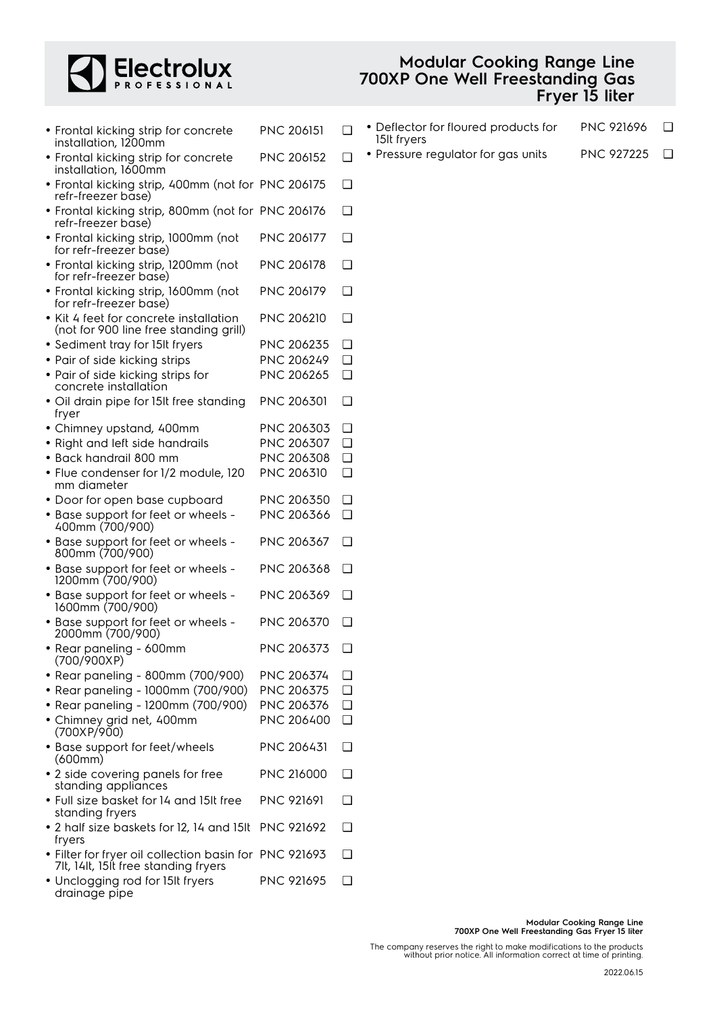

#### **Modular Cooking Range Line 700XP One Well Freestanding Gas Fryer 15 liter**

| • Frontal kicking strip for concrete<br>installation, 1200mm                                   | <b>PNC 206151</b> | ◻      |
|------------------------------------------------------------------------------------------------|-------------------|--------|
| • Frontal kicking strip for concrete<br>installation, 1600mm                                   | <b>PNC 206152</b> | □      |
| • Frontal kicking strip, 400mm (not for PNC 206175<br>refr-freezer base)                       |                   | ❏      |
| · Frontal kicking strip, 800mm (not for PNC 206176<br>refr-freezer base)                       |                   | □      |
| · Frontal kicking strip, 1000mm (not<br>for refr-freezer base)                                 | <b>PNC 206177</b> | □      |
| · Frontal kicking strip, 1200mm (not<br>for refr-freezer base)                                 | <b>PNC 206178</b> | □      |
| · Frontal kicking strip, 1600mm (not<br>for refr-freezer base)                                 | PNC 206179        | □      |
| • Kit 4 feet for concrete installation<br>(not for 900 line free standing grill)               | <b>PNC 206210</b> | □      |
| • Sediment tray for 15It fryers                                                                | PNC 206235        | ❏      |
| • Pair of side kicking strips                                                                  | PNC 206249        | $\Box$ |
| • Pair of side kicking strips for<br>concrete installation                                     | PNC 206265        | □      |
| · Oil drain pipe for 15It free standing<br>fryer                                               | <b>PNC 206301</b> | □      |
| • Chimney upstand, 400mm                                                                       | PNC 206303        | ❏      |
| • Right and left side handrails                                                                | PNC 206307        | $\Box$ |
| · Back handrail 800 mm                                                                         | PNC 206308        | □      |
| • Flue condenser for 1/2 module, 120<br>mm diameter                                            | PNC 206310        | □      |
| • Door for open base cupboard                                                                  | PNC 206350        | ❏      |
| • Base support for feet or wheels -<br>400mm (700/900)                                         | PNC 206366        | $\Box$ |
| • Base support for feet or wheels -<br>800mm (700/900)                                         | PNC 206367        | ❏      |
| • Base support for feet or wheels -<br>1200mm (700/900)                                        | PNC 206368        | ❏      |
| • Base support for feet or wheels -<br>1600mm (700/900)                                        | PNC 206369        | □      |
| • Base support for feet or wheels -<br>2000mm (700/900)                                        | <b>PNC 206370</b> | □      |
| • Rear paneling - 600mm<br>(700/900XP)                                                         | PNC 206373        | □      |
| • Rear paneling - 800mm (700/900)                                                              | PNC 206374        | ❏      |
| • Rear paneling - 1000mm (700/900)                                                             | PNC 206375        | $\Box$ |
| • Rear paneling - 1200mm (700/900)                                                             | PNC 206376        | $\Box$ |
| • Chimney grid net, 400mm<br>(700XP/900)                                                       | PNC 206400        | ◘      |
| • Base support for feet/wheels<br>(600mm)                                                      | <b>PNC 206431</b> | ❏      |
| • 2 side covering panels for free<br>standing appliances                                       | <b>PNC 216000</b> | □      |
| . Full size basket for 14 and 15It free<br>standing fryers                                     | <b>PNC 921691</b> | ∣ 1    |
| • 2 half size baskets for 12, 14 and 15It<br>fryers                                            | <b>PNC 921692</b> | □      |
| • Filter for fryer oil collection basin for PNC 921693<br>7lt, 14lt, 15lt free standing fryers |                   | □      |
| · Unclogging rod for 15It fryers<br>drainage pipe                                              | <b>PNC 921695</b> | □      |

| • Deflector for floured products for | <b>PNC 921696</b> | ❏ |
|--------------------------------------|-------------------|---|
| 15It fryers                          |                   |   |

• Pressure regulator for gas units PNC 927225 □